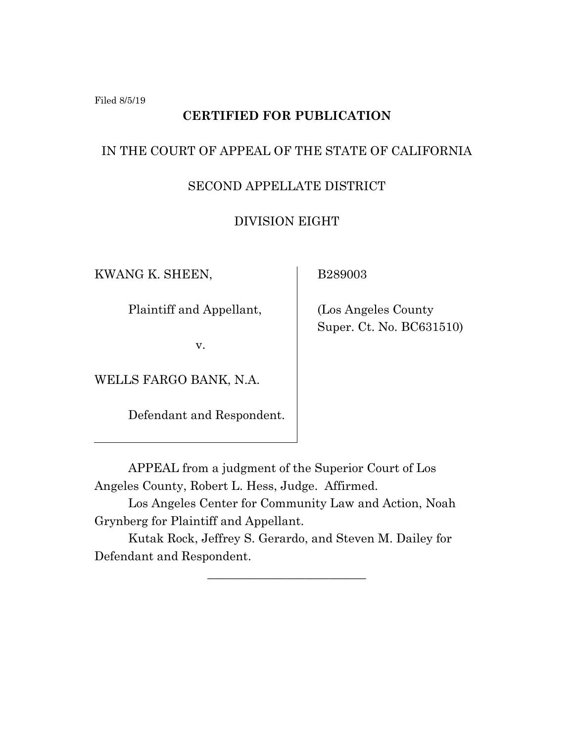Filed 8/5/19

# **CERTIFIED FOR PUBLICATION**

# IN THE COURT OF APPEAL OF THE STATE OF CALIFORNIA

# SECOND APPELLATE DISTRICT

### DIVISION EIGHT

KWANG K. SHEEN,

Plaintiff and Appellant,

v.

WELLS FARGO BANK, N.A.

Defendant and Respondent.

B289003

 (Los Angeles County Super. Ct. No. BC631510)

APPEAL from a judgment of the Superior Court of Los Angeles County, Robert L. Hess, Judge. Affirmed.

Los Angeles Center for Community Law and Action, Noah Grynberg for Plaintiff and Appellant.

Kutak Rock, Jeffrey S. Gerardo, and Steven M. Dailey for Defendant and Respondent.

\_\_\_\_\_\_\_\_\_\_\_\_\_\_\_\_\_\_\_\_\_\_\_\_\_\_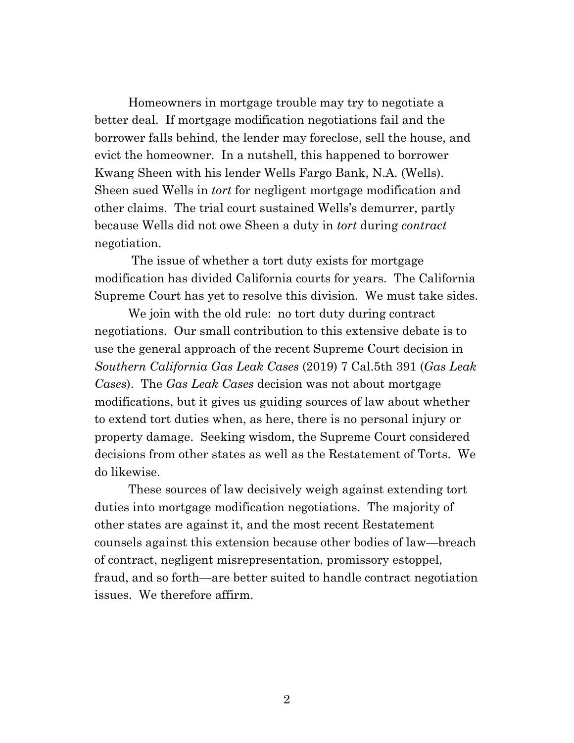Homeowners in mortgage trouble may try to negotiate a better deal. If mortgage modification negotiations fail and the borrower falls behind, the lender may foreclose, sell the house, and evict the homeowner. In a nutshell, this happened to borrower Kwang Sheen with his lender Wells Fargo Bank, N.A. (Wells). Sheen sued Wells in *tort* for negligent mortgage modification and other claims. The trial court sustained Wells's demurrer, partly because Wells did not owe Sheen a duty in *tort* during *contract* negotiation.

The issue of whether a tort duty exists for mortgage modification has divided California courts for years. The California Supreme Court has yet to resolve this division. We must take sides.

We join with the old rule: no tort duty during contract negotiations. Our small contribution to this extensive debate is to use the general approach of the recent Supreme Court decision in *Southern California Gas Leak Cases* (2019) 7 Cal.5th 391 (*Gas Leak Cases*). The *Gas Leak Cases* decision was not about mortgage modifications, but it gives us guiding sources of law about whether to extend tort duties when, as here, there is no personal injury or property damage. Seeking wisdom, the Supreme Court considered decisions from other states as well as the Restatement of Torts. We do likewise.

These sources of law decisively weigh against extending tort duties into mortgage modification negotiations. The majority of other states are against it, and the most recent Restatement counsels against this extension because other bodies of law—breach of contract, negligent misrepresentation, promissory estoppel, fraud, and so forth—are better suited to handle contract negotiation issues. We therefore affirm.

2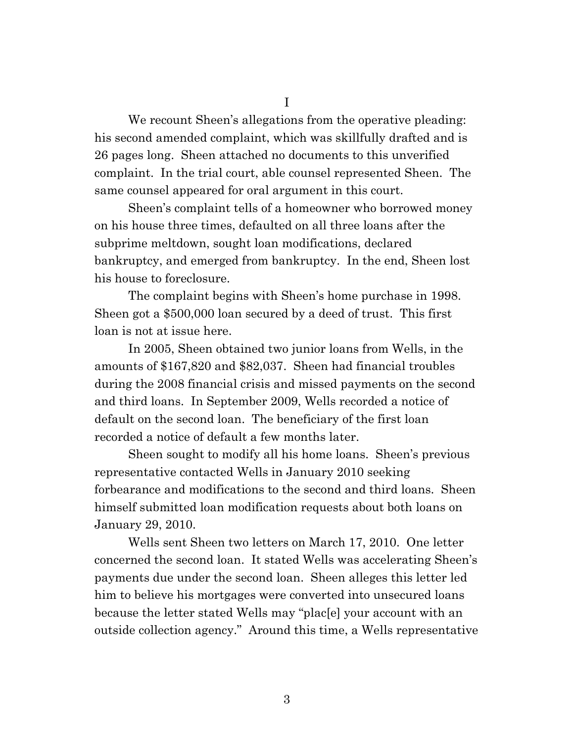We recount Sheen's allegations from the operative pleading: his second amended complaint, which was skillfully drafted and is 26 pages long. Sheen attached no documents to this unverified complaint. In the trial court, able counsel represented Sheen. The same counsel appeared for oral argument in this court.

Sheen's complaint tells of a homeowner who borrowed money on his house three times, defaulted on all three loans after the subprime meltdown, sought loan modifications, declared bankruptcy, and emerged from bankruptcy. In the end, Sheen lost his house to foreclosure.

The complaint begins with Sheen's home purchase in 1998. Sheen got a \$500,000 loan secured by a deed of trust. This first loan is not at issue here.

In 2005, Sheen obtained two junior loans from Wells, in the amounts of \$167,820 and \$82,037. Sheen had financial troubles during the 2008 financial crisis and missed payments on the second and third loans. In September 2009, Wells recorded a notice of default on the second loan. The beneficiary of the first loan recorded a notice of default a few months later.

Sheen sought to modify all his home loans. Sheen's previous representative contacted Wells in January 2010 seeking forbearance and modifications to the second and third loans. Sheen himself submitted loan modification requests about both loans on January 29, 2010.

Wells sent Sheen two letters on March 17, 2010. One letter concerned the second loan. It stated Wells was accelerating Sheen's payments due under the second loan. Sheen alleges this letter led him to believe his mortgages were converted into unsecured loans because the letter stated Wells may "plac[e] your account with an outside collection agency." Around this time, a Wells representative

I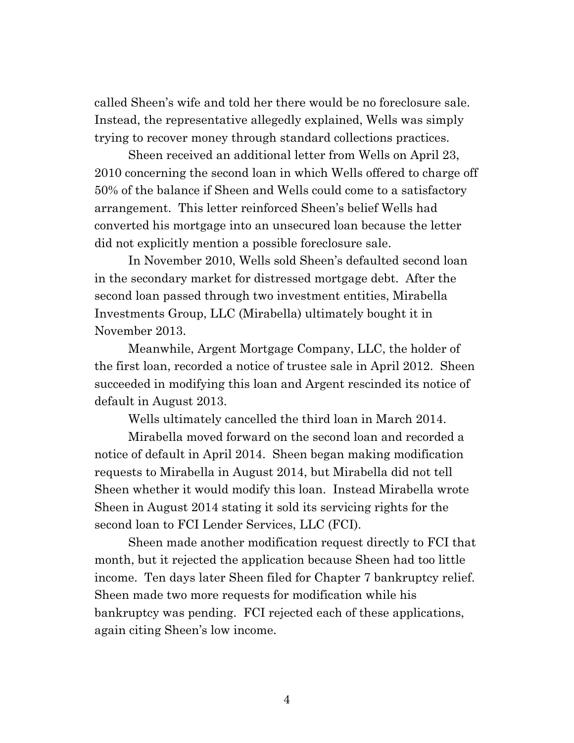called Sheen's wife and told her there would be no foreclosure sale. Instead, the representative allegedly explained, Wells was simply trying to recover money through standard collections practices.

Sheen received an additional letter from Wells on April 23, 2010 concerning the second loan in which Wells offered to charge off 50% of the balance if Sheen and Wells could come to a satisfactory arrangement. This letter reinforced Sheen's belief Wells had converted his mortgage into an unsecured loan because the letter did not explicitly mention a possible foreclosure sale.

In November 2010, Wells sold Sheen's defaulted second loan in the secondary market for distressed mortgage debt. After the second loan passed through two investment entities, Mirabella Investments Group, LLC (Mirabella) ultimately bought it in November 2013.

Meanwhile, Argent Mortgage Company, LLC, the holder of the first loan, recorded a notice of trustee sale in April 2012. Sheen succeeded in modifying this loan and Argent rescinded its notice of default in August 2013.

Wells ultimately cancelled the third loan in March 2014.

Mirabella moved forward on the second loan and recorded a notice of default in April 2014. Sheen began making modification requests to Mirabella in August 2014, but Mirabella did not tell Sheen whether it would modify this loan. Instead Mirabella wrote Sheen in August 2014 stating it sold its servicing rights for the second loan to FCI Lender Services, LLC (FCI).

Sheen made another modification request directly to FCI that month, but it rejected the application because Sheen had too little income. Ten days later Sheen filed for Chapter 7 bankruptcy relief. Sheen made two more requests for modification while his bankruptcy was pending. FCI rejected each of these applications, again citing Sheen's low income.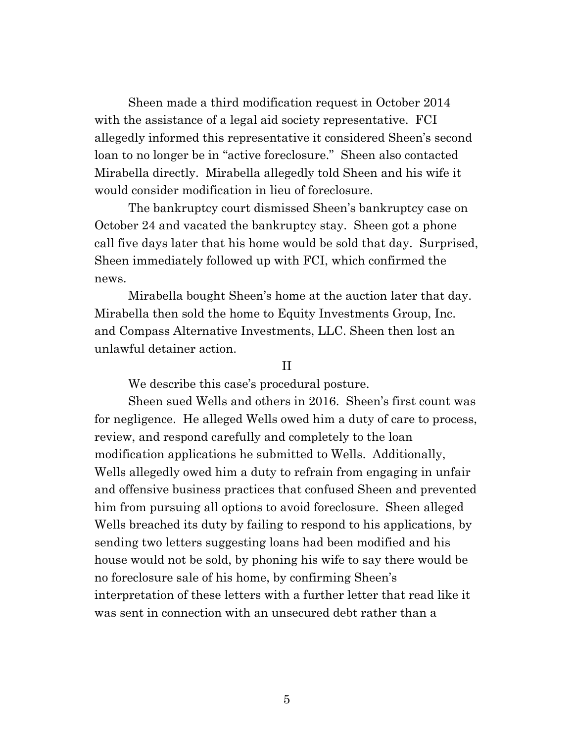Sheen made a third modification request in October 2014 with the assistance of a legal aid society representative. FCI allegedly informed this representative it considered Sheen's second loan to no longer be in "active foreclosure." Sheen also contacted Mirabella directly. Mirabella allegedly told Sheen and his wife it would consider modification in lieu of foreclosure.

The bankruptcy court dismissed Sheen's bankruptcy case on October 24 and vacated the bankruptcy stay. Sheen got a phone call five days later that his home would be sold that day. Surprised, Sheen immediately followed up with FCI, which confirmed the news.

Mirabella bought Sheen's home at the auction later that day. Mirabella then sold the home to Equity Investments Group, Inc. and Compass Alternative Investments, LLC. Sheen then lost an unlawful detainer action.

#### II

We describe this case's procedural posture.

Sheen sued Wells and others in 2016. Sheen's first count was for negligence. He alleged Wells owed him a duty of care to process, review, and respond carefully and completely to the loan modification applications he submitted to Wells. Additionally, Wells allegedly owed him a duty to refrain from engaging in unfair and offensive business practices that confused Sheen and prevented him from pursuing all options to avoid foreclosure. Sheen alleged Wells breached its duty by failing to respond to his applications, by sending two letters suggesting loans had been modified and his house would not be sold, by phoning his wife to say there would be no foreclosure sale of his home, by confirming Sheen's interpretation of these letters with a further letter that read like it was sent in connection with an unsecured debt rather than a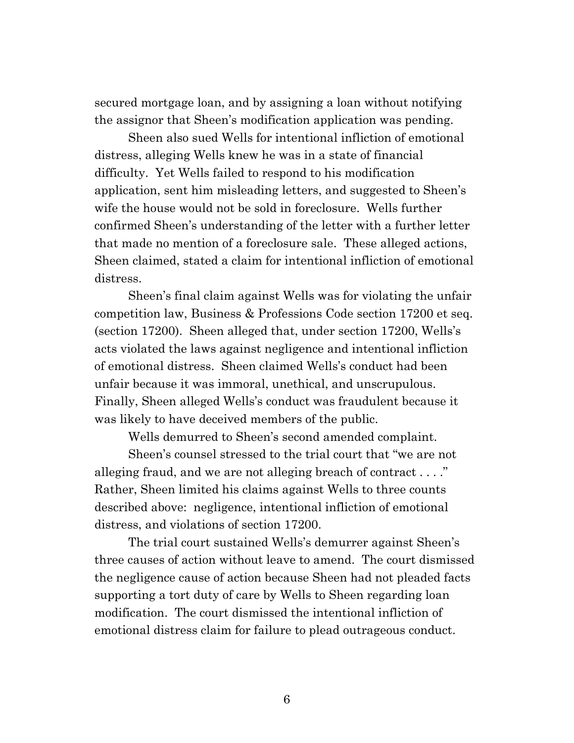secured mortgage loan, and by assigning a loan without notifying the assignor that Sheen's modification application was pending.

Sheen also sued Wells for intentional infliction of emotional distress, alleging Wells knew he was in a state of financial difficulty. Yet Wells failed to respond to his modification application, sent him misleading letters, and suggested to Sheen's wife the house would not be sold in foreclosure. Wells further confirmed Sheen's understanding of the letter with a further letter that made no mention of a foreclosure sale. These alleged actions, Sheen claimed, stated a claim for intentional infliction of emotional distress.

Sheen's final claim against Wells was for violating the unfair competition law, Business & Professions Code section 17200 et seq. (section 17200). Sheen alleged that, under section 17200, Wells's acts violated the laws against negligence and intentional infliction of emotional distress. Sheen claimed Wells's conduct had been unfair because it was immoral, unethical, and unscrupulous. Finally, Sheen alleged Wells's conduct was fraudulent because it was likely to have deceived members of the public.

Wells demurred to Sheen's second amended complaint.

Sheen's counsel stressed to the trial court that "we are not alleging fraud, and we are not alleging breach of contract . . . ." Rather, Sheen limited his claims against Wells to three counts described above: negligence, intentional infliction of emotional distress, and violations of section 17200.

The trial court sustained Wells's demurrer against Sheen's three causes of action without leave to amend. The court dismissed the negligence cause of action because Sheen had not pleaded facts supporting a tort duty of care by Wells to Sheen regarding loan modification. The court dismissed the intentional infliction of emotional distress claim for failure to plead outrageous conduct.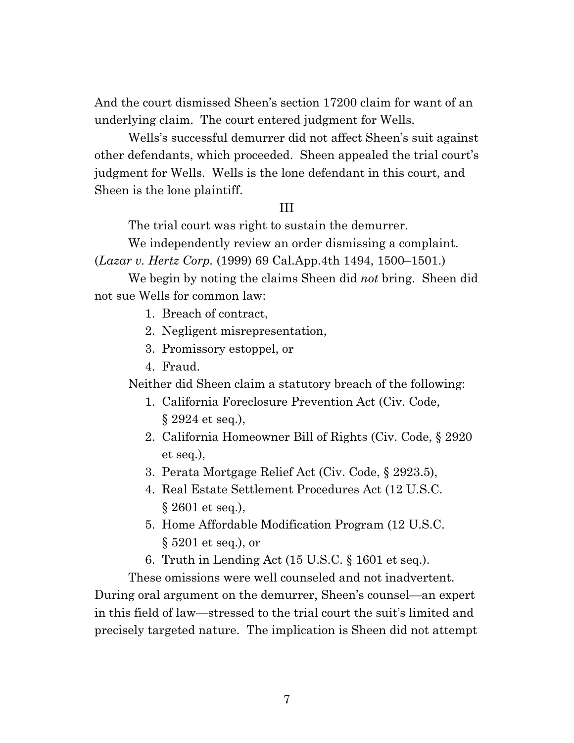And the court dismissed Sheen's section 17200 claim for want of an underlying claim. The court entered judgment for Wells.

Wells's successful demurrer did not affect Sheen's suit against other defendants, which proceeded. Sheen appealed the trial court's judgment for Wells. Wells is the lone defendant in this court, and Sheen is the lone plaintiff.

### III

The trial court was right to sustain the demurrer.

We independently review an order dismissing a complaint.

(*Lazar v. Hertz Corp.* (1999) 69 Cal.App.4th 1494, 1500–1501.)

We begin by noting the claims Sheen did *not* bring. Sheen did not sue Wells for common law:

- 1. Breach of contract,
- 2. Negligent misrepresentation,
- 3. Promissory estoppel, or
- 4. Fraud.

Neither did Sheen claim a statutory breach of the following:

- 1. California Foreclosure Prevention Act (Civ. Code, § 2924 et seq.),
- 2. California Homeowner Bill of Rights (Civ. Code, § 2920 et seq.),
- 3. Perata Mortgage Relief Act (Civ. Code, § 2923.5),
- 4. Real Estate Settlement Procedures Act (12 U.S.C. § 2601 et seq.),
- 5. Home Affordable Modification Program (12 U.S.C. § 5201 et seq.), or
- 6. Truth in Lending Act (15 U.S.C. § 1601 et seq.).

These omissions were well counseled and not inadvertent.

During oral argument on the demurrer, Sheen's counsel—an expert in this field of law—stressed to the trial court the suit's limited and precisely targeted nature. The implication is Sheen did not attempt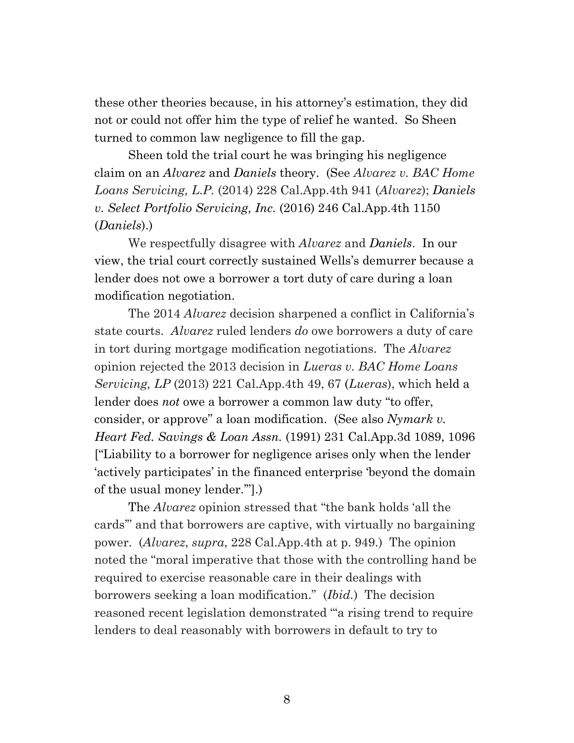these other theories because, in his attorney's estimation, they did not or could not offer him the type of relief he wanted. So Sheen turned to common law negligence to fill the gap.

Sheen told the trial court he was bringing his negligence claim on an *Alvarez* and *Daniels* theory. (See *Alvarez v. BAC Home Loans Servicing, L.P.* (2014) 228 Cal.App.4th 941 (*Alvarez*); *Daniels v. Select Portfolio Servicing, Inc.* (2016) 246 Cal.App.4th 1150 (*Daniels*).)

We respectfully disagree with *Alvarez* and *Daniels*. In our view, the trial court correctly sustained Wells's demurrer because a lender does not owe a borrower a tort duty of care during a loan modification negotiation.

The 2014 *Alvarez* decision sharpened a conflict in California's state courts. *Alvarez* ruled lenders *do* owe borrowers a duty of care in tort during mortgage modification negotiations. The *Alvarez* opinion rejected the 2013 decision in *Lueras v. BAC Home Loans Servicing, LP* (2013) 221 Cal.App.4th 49, 67 (*Lueras*), which held a lender does *not* owe a borrower a common law duty "to offer, consider, or approve" a loan modification. (See also *Nymark v. Heart Fed. Savings & Loan Assn.* (1991) 231 Cal.App.3d 1089, 1096 ["Liability to a borrower for negligence arises only when the lender 'actively participates' in the financed enterprise 'beyond the domain of the usual money lender.'"].)

The *Alvarez* opinion stressed that "the bank holds 'all the cards'" and that borrowers are captive, with virtually no bargaining power. (*Alvarez*, *supra*, 228 Cal.App.4th at p. 949.) The opinion noted the "moral imperative that those with the controlling hand be required to exercise reasonable care in their dealings with borrowers seeking a loan modification." (*Ibid.*) The decision reasoned recent legislation demonstrated "'a rising trend to require lenders to deal reasonably with borrowers in default to try to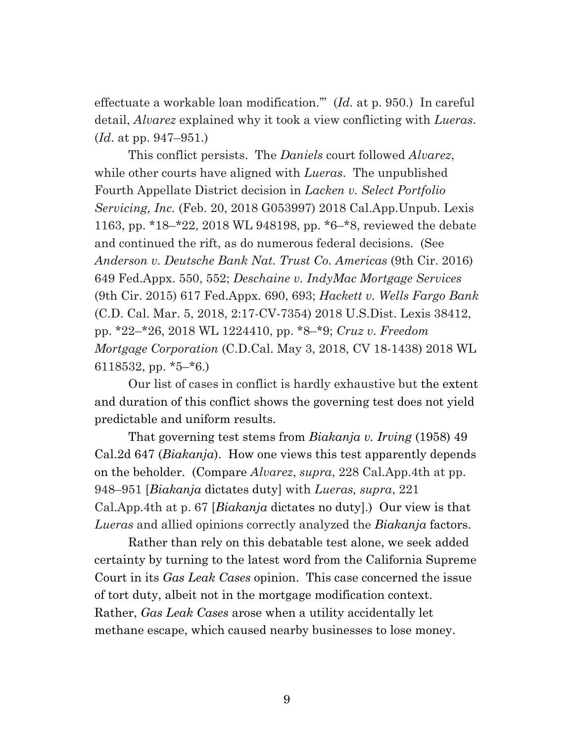effectuate a workable loan modification.'" (*Id.* at p. 950.) In careful detail, *Alvarez* explained why it took a view conflicting with *Lueras*. (*Id*. at pp. 947–951.)

This conflict persists. The *Daniels* court followed *Alvarez*, while other courts have aligned with *Lueras*. The unpublished Fourth Appellate District decision in *Lacken v. Select Portfolio Servicing, Inc.* (Feb. 20, 2018 G053997) 2018 Cal.App.Unpub. Lexis 1163, pp. \*18–\*22, 2018 WL 948198, pp. \*6–\*8, reviewed the debate and continued the rift, as do numerous federal decisions. (See *Anderson v. Deutsche Bank Nat. Trust Co. Americas* (9th Cir. 2016) 649 Fed.Appx. 550, 552; *Deschaine v. IndyMac Mortgage Services* (9th Cir. 2015) 617 Fed.Appx. 690, 693; *Hackett v. Wells Fargo Bank* (C.D. Cal. Mar. 5, 2018, 2:17-CV-7354) 2018 U.S.Dist. Lexis 38412, pp. \*22–\*26, 2018 WL 1224410, pp. \*8–\*9; *Cruz v. Freedom Mortgage Corporation* (C.D.Cal. May 3, 2018, CV 18-1438) 2018 WL 6118532, pp. \*5–\*6.)

Our list of cases in conflict is hardly exhaustive but the extent and duration of this conflict shows the governing test does not yield predictable and uniform results.

That governing test stems from *Biakanja v. Irving* (1958) 49 Cal.2d 647 (*Biakanja*). How one views this test apparently depends on the beholder. (Compare *Alvarez*, *supra*, 228 Cal.App.4th at pp. 948–951 [*Biakanja* dictates duty] with *Lueras, supra*, 221 Cal.App.4th at p. 67 [*Biakanja* dictates no duty].) Our view is that *Lueras* and allied opinions correctly analyzed the *Biakanja* factors.

Rather than rely on this debatable test alone, we seek added certainty by turning to the latest word from the California Supreme Court in its *Gas Leak Cases* opinion. This case concerned the issue of tort duty, albeit not in the mortgage modification context. Rather, *Gas Leak Cases* arose when a utility accidentally let methane escape, which caused nearby businesses to lose money.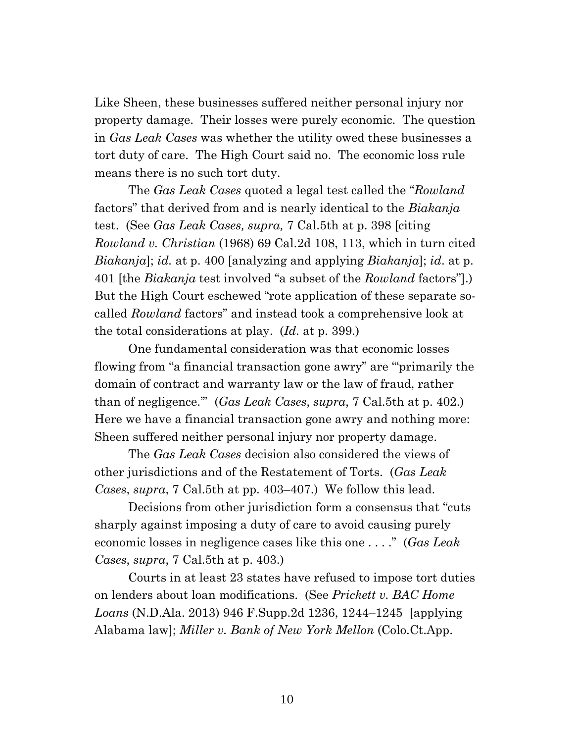Like Sheen, these businesses suffered neither personal injury nor property damage. Their losses were purely economic. The question in *Gas Leak Cases* was whether the utility owed these businesses a tort duty of care. The High Court said no. The economic loss rule means there is no such tort duty.

The *Gas Leak Cases* quoted a legal test called the "*Rowland*  factors" that derived from and is nearly identical to the *Biakanja* test. (See *Gas Leak Cases, supra,* 7 Cal.5th at p. 398 [citing *Rowland v. Christian* (1968) 69 Cal.2d 108, 113, which in turn cited *Biakanja*]; *id.* at p. 400 [analyzing and applying *Biakanja*]; *id*. at p. 401 [the *Biakanja* test involved "a subset of the *Rowland* factors"].) But the High Court eschewed "rote application of these separate socalled *Rowland* factors" and instead took a comprehensive look at the total considerations at play. (*Id.* at p. 399.)

One fundamental consideration was that economic losses flowing from "a financial transaction gone awry" are "'primarily the domain of contract and warranty law or the law of fraud, rather than of negligence.'" (*Gas Leak Cases*, *supra*, 7 Cal.5th at p. 402.) Here we have a financial transaction gone awry and nothing more: Sheen suffered neither personal injury nor property damage.

The *Gas Leak Cases* decision also considered the views of other jurisdictions and of the Restatement of Torts. (*Gas Leak Cases*, *supra*, 7 Cal.5th at pp. 403–407.) We follow this lead.

Decisions from other jurisdiction form a consensus that "cuts sharply against imposing a duty of care to avoid causing purely economic losses in negligence cases like this one . . . ." (*Gas Leak Cases*, *supra*, 7 Cal.5th at p. 403.)

Courts in at least 23 states have refused to impose tort duties on lenders about loan modifications. (See *Prickett v. BAC Home Loans* (N.D.Ala. 2013) 946 F.Supp.2d 1236, 1244–1245 [applying Alabama law]; *Miller v. Bank of New York Mellon* (Colo.Ct.App.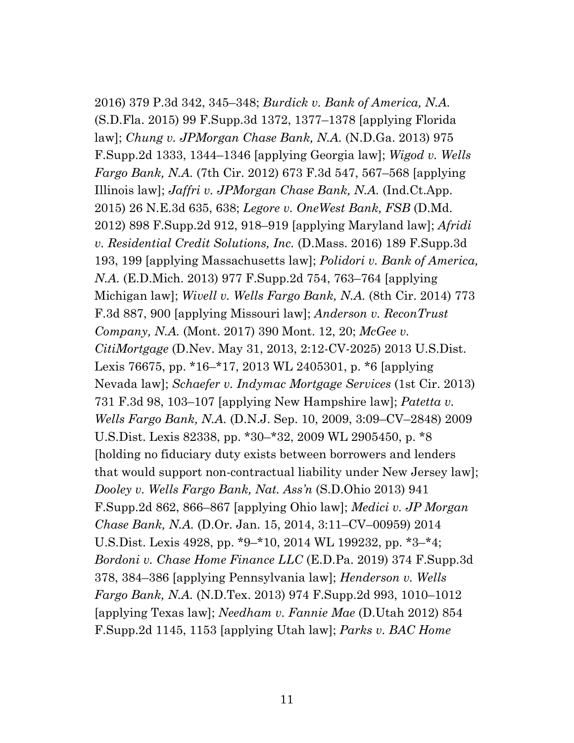2016) 379 P.3d 342, 345–348; *Burdick v. Bank of America, N.A.* (S.D.Fla. 2015) 99 F.Supp.3d 1372, 1377–1378 [applying Florida law]; *Chung v. JPMorgan Chase Bank, N.A.* (N.D.Ga. 2013) 975 F.Supp.2d 1333, 1344–1346 [applying Georgia law]; *Wigod v. Wells Fargo Bank, N.A.* (7th Cir. 2012) 673 F.3d 547, 567–568 [applying Illinois law]; *Jaffri v. JPMorgan Chase Bank, N.A.* (Ind.Ct.App. 2015) 26 N.E.3d 635, 638; *Legore v. OneWest Bank, FSB* (D.Md. 2012) 898 F.Supp.2d 912, 918–919 [applying Maryland law]; *Afridi v. Residential Credit Solutions, Inc.* (D.Mass. 2016) 189 F.Supp.3d 193, 199 [applying Massachusetts law]; *Polidori v. Bank of America, N.A.* (E.D.Mich. 2013) 977 F.Supp.2d 754, 763–764 [applying Michigan law]; *Wivell v. Wells Fargo Bank, N.A.* (8th Cir. 2014) 773 F.3d 887, 900 [applying Missouri law]; *Anderson v. ReconTrust Company, N.A.* (Mont. 2017) 390 Mont. 12, 20; *McGee v. CitiMortgage* (D.Nev. May 31, 2013, 2:12-CV-2025) 2013 U.S.Dist. Lexis 76675, pp. \*16–\*17, 2013 WL 2405301, p. \*6 [applying Nevada law]; *Schaefer v. Indymac Mortgage Services* (1st Cir. 2013) 731 F.3d 98, 103–107 [applying New Hampshire law]; *Patetta v. Wells Fargo Bank, N.A.* (D.N.J. Sep. 10, 2009, 3:09–CV–2848) 2009 U.S.Dist. Lexis 82338, pp. \*30–\*32, 2009 WL 2905450, p. \*8 [holding no fiduciary duty exists between borrowers and lenders that would support non-contractual liability under New Jersey law]; *Dooley v. Wells Fargo Bank, Nat. Ass'n* (S.D.Ohio 2013) 941 F.Supp.2d 862, 866–867 [applying Ohio law]; *Medici v. JP Morgan Chase Bank, N.A.* (D.Or. Jan. 15, 2014, 3:11–CV–00959) 2014 U.S.Dist. Lexis 4928, pp. \*9–\*10, 2014 WL 199232, pp. \*3–\*4; *Bordoni v. Chase Home Finance LLC* (E.D.Pa. 2019) 374 F.Supp.3d 378, 384–386 [applying Pennsylvania law]; *Henderson v. Wells Fargo Bank, N.A.* (N.D.Tex. 2013) 974 F.Supp.2d 993, 1010–1012 [applying Texas law]; *Needham v. Fannie Mae* (D.Utah 2012) 854 F.Supp.2d 1145, 1153 [applying Utah law]; *Parks v. BAC Home*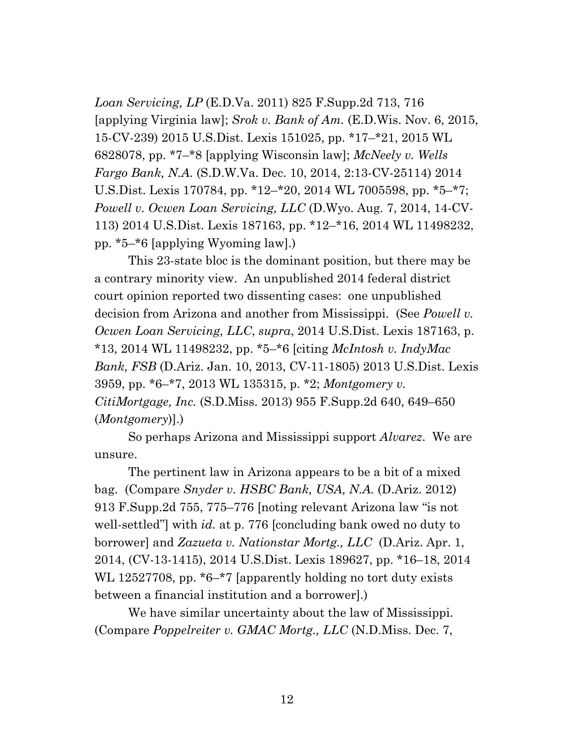*Loan Servicing, LP* (E.D.Va. 2011) 825 F.Supp.2d 713, 716 [applying Virginia law]; *Srok v. Bank of Am.* (E.D.Wis. Nov. 6, 2015, 15-CV-239) 2015 U.S.Dist. Lexis 151025, pp. \*17–\*21, 2015 WL 6828078, pp. \*7–\*8 [applying Wisconsin law]; *McNeely v. Wells Fargo Bank, N.A.* (S.D.W.Va. Dec. 10, 2014, 2:13-CV-25114) 2014 U.S.Dist. Lexis 170784, pp. \*12–\*20, 2014 WL 7005598, pp. \*5–\*7; *Powell v. Ocwen Loan Servicing, LLC* (D.Wyo. Aug. 7, 2014, 14-CV-113) 2014 U.S.Dist. Lexis 187163, pp. \*12–\*16, 2014 WL 11498232, pp. \*5–\*6 [applying Wyoming law].)

This 23-state bloc is the dominant position, but there may be a contrary minority view. An unpublished 2014 federal district court opinion reported two dissenting cases: one unpublished decision from Arizona and another from Mississippi. (See *Powell v. Ocwen Loan Servicing, LLC*, *supra*, 2014 U.S.Dist. Lexis 187163, p. \*13, 2014 WL 11498232, pp. \*5–\*6 [citing *McIntosh v. IndyMac Bank, FSB* (D.Ariz. Jan. 10, 2013, CV-11-1805) 2013 U.S.Dist. Lexis 3959, pp. \*6–\*7, 2013 WL 135315, p. \*2; *Montgomery v. CitiMortgage, Inc.* (S.D.Miss. 2013) 955 F.Supp.2d 640, 649–650 (*Montgomery*)].)

So perhaps Arizona and Mississippi support *Alvarez*. We are unsure.

The pertinent law in Arizona appears to be a bit of a mixed bag. (Compare *Snyder v. HSBC Bank, USA, N.A.* (D.Ariz. 2012) 913 F.Supp.2d 755, 775–776 [noting relevant Arizona law "is not well-settled"] with *id.* at p. 776 [concluding bank owed no duty to borrower] and *Zazueta v. Nationstar Mortg., LLC* (D.Ariz. Apr. 1, 2014, (CV-13-1415), 2014 U.S.Dist. Lexis 189627, pp. \*16–18, 2014 WL 12527708, pp.  $*6-*7$  [apparently holding no tort duty exists between a financial institution and a borrower].)

We have similar uncertainty about the law of Mississippi. (Compare *Poppelreiter v. GMAC Mortg., LLC* (N.D.Miss. Dec. 7,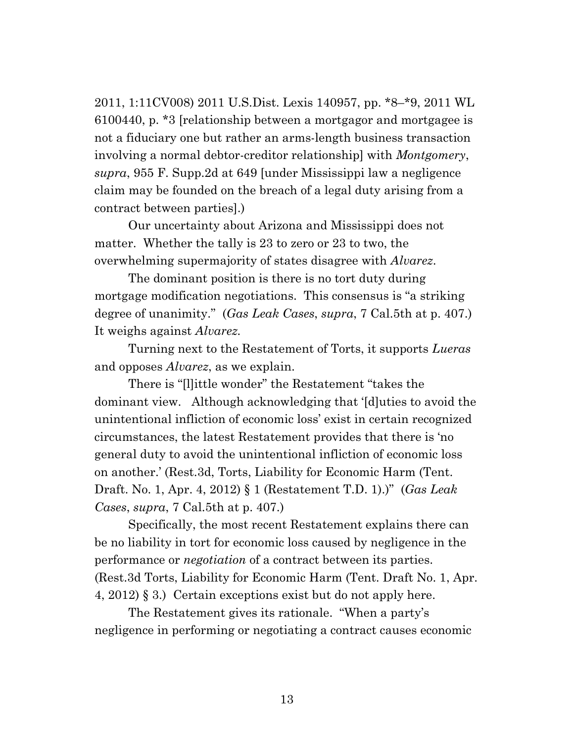2011, 1:11CV008) 2011 U.S.Dist. Lexis 140957, pp. \*8–\*9, 2011 WL 6100440, p. \*3 [relationship between a mortgagor and mortgagee is not a fiduciary one but rather an arms-length business transaction involving a normal debtor-creditor relationship] with *Montgomery*, *supra*, 955 F. Supp.2d at 649 [under Mississippi law a negligence claim may be founded on the breach of a legal duty arising from a contract between parties].)

Our uncertainty about Arizona and Mississippi does not matter. Whether the tally is 23 to zero or 23 to two, the overwhelming supermajority of states disagree with *Alvarez*.

The dominant position is there is no tort duty during mortgage modification negotiations. This consensus is "a striking degree of unanimity." (*Gas Leak Cases*, *supra*, 7 Cal.5th at p. 407.) It weighs against *Alvarez.*

Turning next to the Restatement of Torts, it supports *Lueras* and opposes *Alvarez*, as we explain.

There is "[l]ittle wonder" the Restatement "takes the dominant view. Although acknowledging that '[d]uties to avoid the unintentional infliction of economic loss' exist in certain recognized circumstances, the latest Restatement provides that there is 'no general duty to avoid the unintentional infliction of economic loss on another.' (Rest.3d, Torts, Liability for Economic Harm (Tent. Draft. No. 1, Apr. 4, 2012) § 1 (Restatement T.D. 1).)" (*Gas Leak Cases*, *supra*, 7 Cal.5th at p. 407.)

Specifically, the most recent Restatement explains there can be no liability in tort for economic loss caused by negligence in the performance or *negotiation* of a contract between its parties. (Rest.3d Torts, Liability for Economic Harm (Tent. Draft No. 1, Apr. 4, 2012) § 3.) Certain exceptions exist but do not apply here.

The Restatement gives its rationale. "When a party's negligence in performing or negotiating a contract causes economic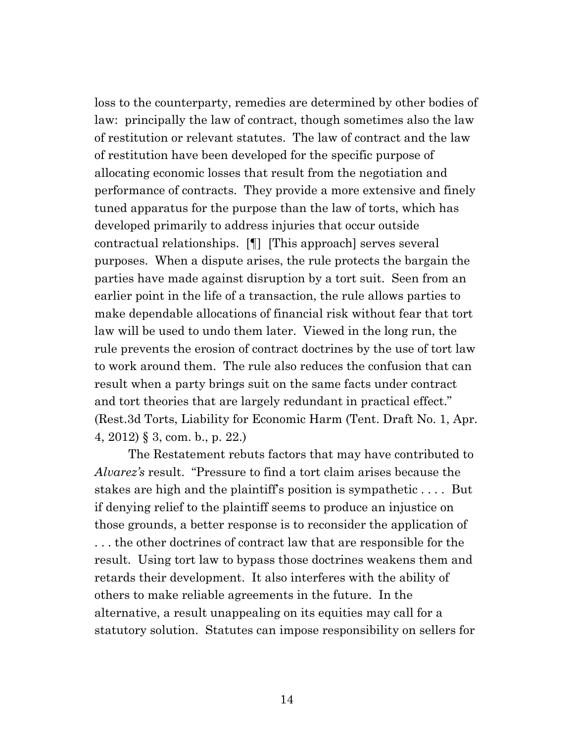loss to the counterparty, remedies are determined by other bodies of law: principally the law of contract, though sometimes also the law of restitution or relevant statutes. The law of contract and the law of restitution have been developed for the specific purpose of allocating economic losses that result from the negotiation and performance of contracts. They provide a more extensive and finely tuned apparatus for the purpose than the law of torts, which has developed primarily to address injuries that occur outside contractual relationships. [¶] [This approach] serves several purposes. When a dispute arises, the rule protects the bargain the parties have made against disruption by a tort suit. Seen from an earlier point in the life of a transaction, the rule allows parties to make dependable allocations of financial risk without fear that tort law will be used to undo them later. Viewed in the long run, the rule prevents the erosion of contract doctrines by the use of tort law to work around them. The rule also reduces the confusion that can result when a party brings suit on the same facts under contract and tort theories that are largely redundant in practical effect." (Rest.3d Torts, Liability for Economic Harm (Tent. Draft No. 1, Apr. 4, 2012) § 3, com. b., p. 22.)

The Restatement rebuts factors that may have contributed to *Alvarez's* result. "Pressure to find a tort claim arises because the stakes are high and the plaintiff's position is sympathetic . . . . But if denying relief to the plaintiff seems to produce an injustice on those grounds, a better response is to reconsider the application of . . . the other doctrines of contract law that are responsible for the result. Using tort law to bypass those doctrines weakens them and retards their development. It also interferes with the ability of others to make reliable agreements in the future. In the alternative, a result unappealing on its equities may call for a statutory solution. Statutes can impose responsibility on sellers for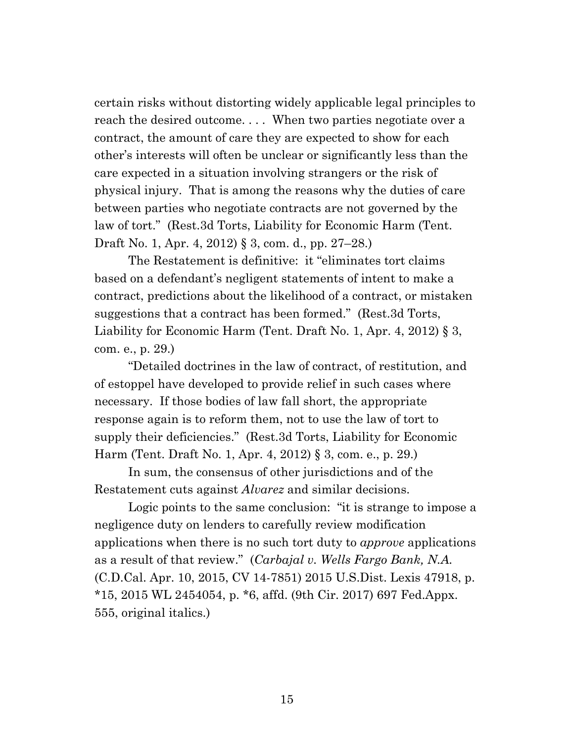certain risks without distorting widely applicable legal principles to reach the desired outcome. . . . When two parties negotiate over a contract, the amount of care they are expected to show for each other's interests will often be unclear or significantly less than the care expected in a situation involving strangers or the risk of physical injury. That is among the reasons why the duties of care between parties who negotiate contracts are not governed by the law of tort." (Rest.3d Torts, Liability for Economic Harm (Tent. Draft No. 1, Apr. 4, 2012) § 3, com. d., pp. 27–28.)

The Restatement is definitive: it "eliminates tort claims based on a defendant's negligent statements of intent to make a contract, predictions about the likelihood of a contract, or mistaken suggestions that a contract has been formed." (Rest.3d Torts, Liability for Economic Harm (Tent. Draft No. 1, Apr. 4, 2012) § 3, com. e., p. 29.)

"Detailed doctrines in the law of contract, of restitution, and of estoppel have developed to provide relief in such cases where necessary. If those bodies of law fall short, the appropriate response again is to reform them, not to use the law of tort to supply their deficiencies." (Rest.3d Torts, Liability for Economic Harm (Tent. Draft No. 1, Apr. 4, 2012) § 3, com. e., p. 29.)

In sum, the consensus of other jurisdictions and of the Restatement cuts against *Alvarez* and similar decisions.

Logic points to the same conclusion: "it is strange to impose a negligence duty on lenders to carefully review modification applications when there is no such tort duty to *approve* applications as a result of that review." (*Carbajal v. Wells Fargo Bank, N.A.* (C.D.Cal. Apr. 10, 2015, CV 14-7851) 2015 U.S.Dist. Lexis 47918, p. \*15, 2015 WL 2454054, p. \*6, affd. (9th Cir. 2017) 697 Fed.Appx. 555, original italics.)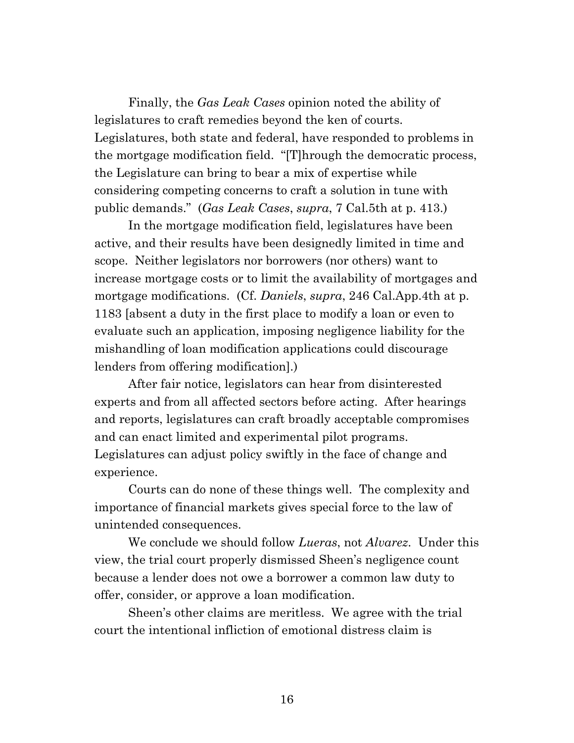Finally, the *Gas Leak Cases* opinion noted the ability of legislatures to craft remedies beyond the ken of courts. Legislatures, both state and federal, have responded to problems in the mortgage modification field. "[T]hrough the democratic process, the Legislature can bring to bear a mix of expertise while considering competing concerns to craft a solution in tune with public demands." (*Gas Leak Cases*, *supra*, 7 Cal.5th at p. 413.)

In the mortgage modification field, legislatures have been active, and their results have been designedly limited in time and scope. Neither legislators nor borrowers (nor others) want to increase mortgage costs or to limit the availability of mortgages and mortgage modifications. (Cf. *Daniels*, *supra*, 246 Cal.App.4th at p. 1183 [absent a duty in the first place to modify a loan or even to evaluate such an application, imposing negligence liability for the mishandling of loan modification applications could discourage lenders from offering modification].)

After fair notice, legislators can hear from disinterested experts and from all affected sectors before acting. After hearings and reports, legislatures can craft broadly acceptable compromises and can enact limited and experimental pilot programs. Legislatures can adjust policy swiftly in the face of change and experience.

Courts can do none of these things well. The complexity and importance of financial markets gives special force to the law of unintended consequences.

We conclude we should follow *Lueras*, not *Alvarez*. Under this view, the trial court properly dismissed Sheen's negligence count because a lender does not owe a borrower a common law duty to offer, consider, or approve a loan modification.

Sheen's other claims are meritless. We agree with the trial court the intentional infliction of emotional distress claim is